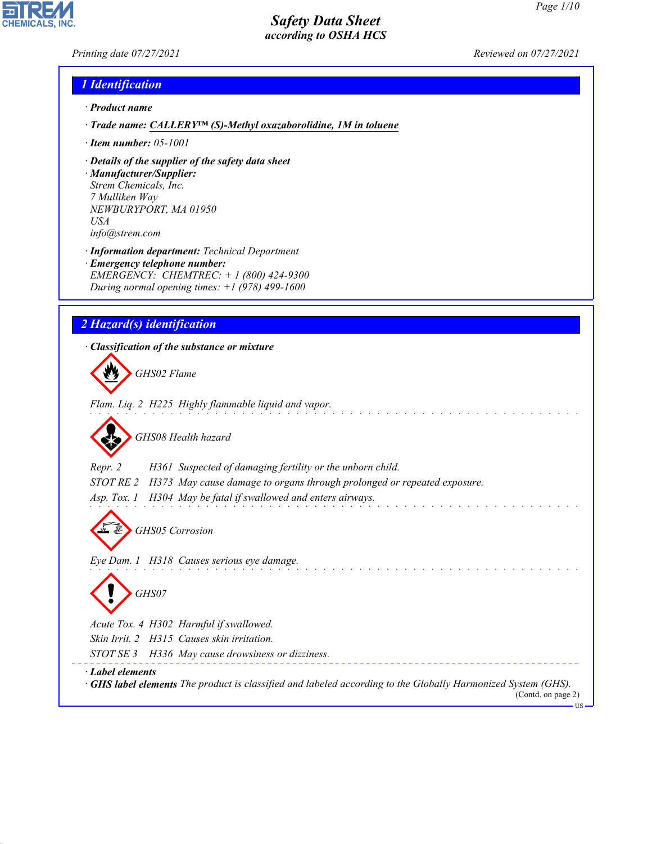*Printing date 07/27/2021 Reviewed on 07/27/2021*

**CHEMICALS, INC** 

# *1 Identification*

- *· Product name*
- *· Trade name: CALLERY™ (S)-Methyl oxazaborolidine, 1M in toluene*
- *· Item number: 05-1001*
- *· Details of the supplier of the safety data sheet*
- *· Manufacturer/Supplier: Strem Chemicals, Inc. 7 Mulliken Way NEWBURYPORT, MA 01950 USA info@strem.com*
- *· Information department: Technical Department*
- *· Emergency telephone number: EMERGENCY: CHEMTREC: + 1 (800) 424-9300 During normal opening times: +1 (978) 499-1600*

# *2 Hazard(s) identification*

*· Classification of the substance or mixture*

d~*GHS02 Flame Flam. Liq. 2 H225 Highly flammable liquid and vapor.*

d~*GHS08 Health hazard*

*Repr. 2 H361 Suspected of damaging fertility or the unborn child.*

*STOT RE 2 H373 May cause damage to organs through prolonged or repeated exposure.*

*Asp. Tox. 1 H304 May be fatal if swallowed and enters airways.*

d~*GHS05 Corrosion*

*Eye Dam. 1 H318 Causes serious eye damage.*

d~*GHS07*

*Acute Tox. 4 H302 Harmful if swallowed.*

*Skin Irrit. 2 H315 Causes skin irritation.*

*STOT SE 3 H336 May cause drowsiness or dizziness.*

*· Label elements*

44.1.1

*· GHS label elements The product is classified and labeled according to the Globally Harmonized System (GHS).* (Contd. on page 2)

US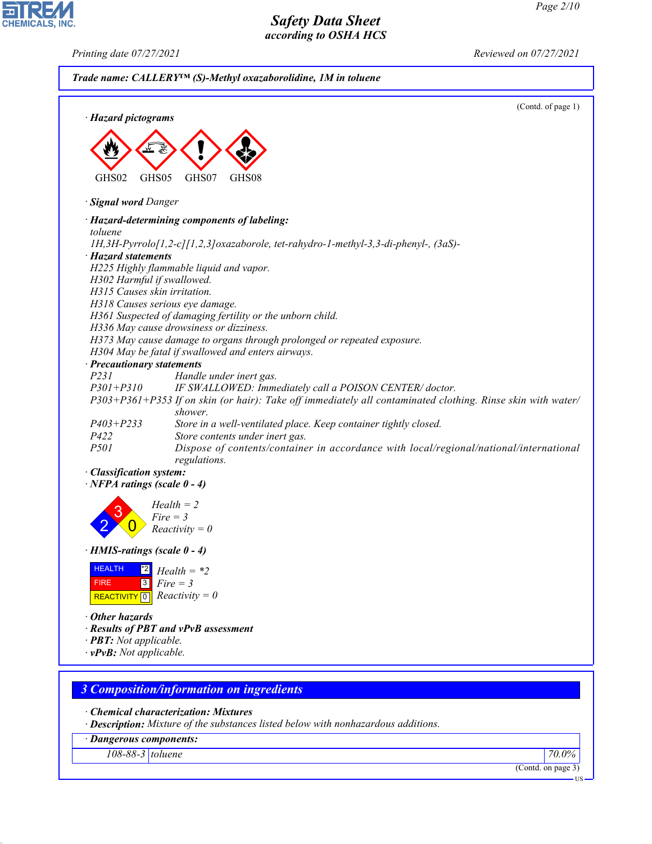*Printing date 07/27/2021 Reviewed on 07/27/2021*

**EDIREAL** 

|                                    | (Contd. of page 1)                                                                                                     |
|------------------------------------|------------------------------------------------------------------------------------------------------------------------|
| · Hazard pictograms                |                                                                                                                        |
|                                    |                                                                                                                        |
|                                    |                                                                                                                        |
|                                    |                                                                                                                        |
| GHS02<br>GHS05                     | GHS07<br>GHS08                                                                                                         |
|                                    |                                                                                                                        |
| · Signal word Danger               |                                                                                                                        |
|                                    | · Hazard-determining components of labeling:                                                                           |
| toluene                            |                                                                                                                        |
|                                    | 1H,3H-Pyrrolo[1,2-c][1,2,3]oxazaborole, tet-rahydro-1-methyl-3,3-di-phenyl-, (3aS)-                                    |
| · Hazard statements                |                                                                                                                        |
|                                    | H225 Highly flammable liquid and vapor.                                                                                |
| H302 Harmful if swallowed.         |                                                                                                                        |
| H315 Causes skin irritation.       |                                                                                                                        |
|                                    | H318 Causes serious eye damage.                                                                                        |
|                                    | H361 Suspected of damaging fertility or the unborn child.                                                              |
|                                    | H336 May cause drowsiness or dizziness.                                                                                |
|                                    | H373 May cause damage to organs through prolonged or repeated exposure.                                                |
|                                    | H304 May be fatal if swallowed and enters airways.                                                                     |
| · Precautionary statements<br>P231 |                                                                                                                        |
| $P301 + P310$                      | Handle under inert gas.                                                                                                |
|                                    | IF SWALLOWED: Immediately call a POISON CENTER/doctor.                                                                 |
|                                    | P303+P361+P353 If on skin (or hair): Take off immediately all contaminated clothing. Rinse skin with water/<br>shower. |
|                                    |                                                                                                                        |
| $P403 + P233$<br>P422              | Store in a well-ventilated place. Keep container tightly closed.<br>Store contents under inert gas.                    |
| <i>P501</i>                        | Dispose of contents/container in accordance with local/regional/national/international                                 |
|                                    | regulations.                                                                                                           |
| · Classification system:           |                                                                                                                        |
| $\cdot$ NFPA ratings (scale 0 - 4) |                                                                                                                        |
|                                    |                                                                                                                        |
|                                    | $Health = 2$                                                                                                           |
|                                    | $Fire = 3$                                                                                                             |
|                                    | $Reactivity = 0$                                                                                                       |
| $\cdot$ HMIS-ratings (scale 0 - 4) |                                                                                                                        |
|                                    |                                                                                                                        |
| <b>HEALTH</b><br> 2                | $Health = *2$                                                                                                          |
| 3 <br><b>FIRE</b>                  | $Fire = 3$                                                                                                             |
| REACTIVITY 0 $Reactivity = 0$      |                                                                                                                        |
| • Other hazards                    |                                                                                                                        |
|                                    | · Results of PBT and vPvB assessment                                                                                   |
| · <b>PBT:</b> Not applicable.      |                                                                                                                        |
| $\cdot$ vPvB: Not applicable.      |                                                                                                                        |
|                                    |                                                                                                                        |
|                                    |                                                                                                                        |
|                                    | <b>3 Composition/information on ingredients</b>                                                                        |
|                                    | $\cdot$ Chemical characterization: Mixtures                                                                            |
|                                    | · Description: Mixture of the substances listed below with nonhazardous additions.                                     |
| · Dangerous components:            |                                                                                                                        |
| $108-88-3$ toluene                 | 70.0%                                                                                                                  |
|                                    |                                                                                                                        |

44.1.1

(Contd. on page 3)

 $\overline{\mathbf{u}}$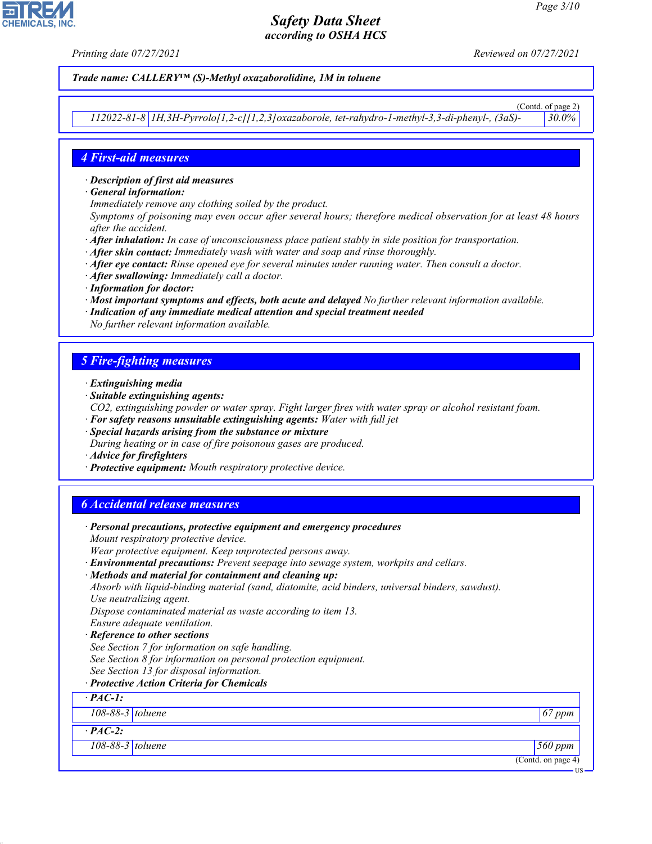*Printing date 07/27/2021 Reviewed on 07/27/2021*

#### *Trade name: CALLERY™ (S)-Methyl oxazaborolidine, 1M in toluene*

(Contd. of page 2) *112022-81-8 1H,3H-Pyrrolo[1,2-c][1,2,3]oxazaborole, tet-rahydro-1-methyl-3,3-di-phenyl-, (3aS)- 30.0%*

## *4 First-aid measures*

- *· Description of first aid measures*
- *· General information:*
- *Immediately remove any clothing soiled by the product.*
- *Symptoms of poisoning may even occur after several hours; therefore medical observation for at least 48 hours after the accident.*
- *· After inhalation: In case of unconsciousness place patient stably in side position for transportation.*
- *· After skin contact: Immediately wash with water and soap and rinse thoroughly.*
- *· After eye contact: Rinse opened eye for several minutes under running water. Then consult a doctor.*
- *· After swallowing: Immediately call a doctor.*
- *· Information for doctor:*
- *· Most important symptoms and effects, both acute and delayed No further relevant information available.*
- *· Indication of any immediate medical attention and special treatment needed*
- *No further relevant information available.*

## *5 Fire-fighting measures*

- *· Extinguishing media*
- *· Suitable extinguishing agents:*
- *CO2, extinguishing powder or water spray. Fight larger fires with water spray or alcohol resistant foam. · For safety reasons unsuitable extinguishing agents: Water with full jet*
- *· Special hazards arising from the substance or mixture*
- *During heating or in case of fire poisonous gases are produced.*
- *· Advice for firefighters*
- *· Protective equipment: Mouth respiratory protective device.*

## *6 Accidental release measures*

| · Personal precautions, protective equipment and emergency procedures                            |                    |
|--------------------------------------------------------------------------------------------------|--------------------|
| Mount respiratory protective device.                                                             |                    |
| Wear protective equipment. Keep unprotected persons away.                                        |                    |
| · Environmental precautions: Prevent seepage into sewage system, workpits and cellars.           |                    |
| · Methods and material for containment and cleaning up:                                          |                    |
| Absorb with liquid-binding material (sand, diatomite, acid binders, universal binders, sawdust). |                    |
| Use neutralizing agent.                                                                          |                    |
| Dispose contaminated material as waste according to item 13.                                     |                    |
| Ensure adequate ventilation.                                                                     |                    |
| · Reference to other sections                                                                    |                    |
| See Section 7 for information on safe handling.                                                  |                    |
| See Section 8 for information on personal protection equipment.                                  |                    |
| See Section 13 for disposal information.                                                         |                    |
| · Protective Action Criteria for Chemicals                                                       |                    |
| $\cdot$ PAC-1:                                                                                   |                    |
| 108-88-3 toluene                                                                                 | $67$ ppm           |
| $\cdot$ PAC-2:                                                                                   |                    |
| 108-88-3 toluene                                                                                 | 560 ppm            |
|                                                                                                  | (Contd. on page 4) |
|                                                                                                  | ·US                |



44.1.1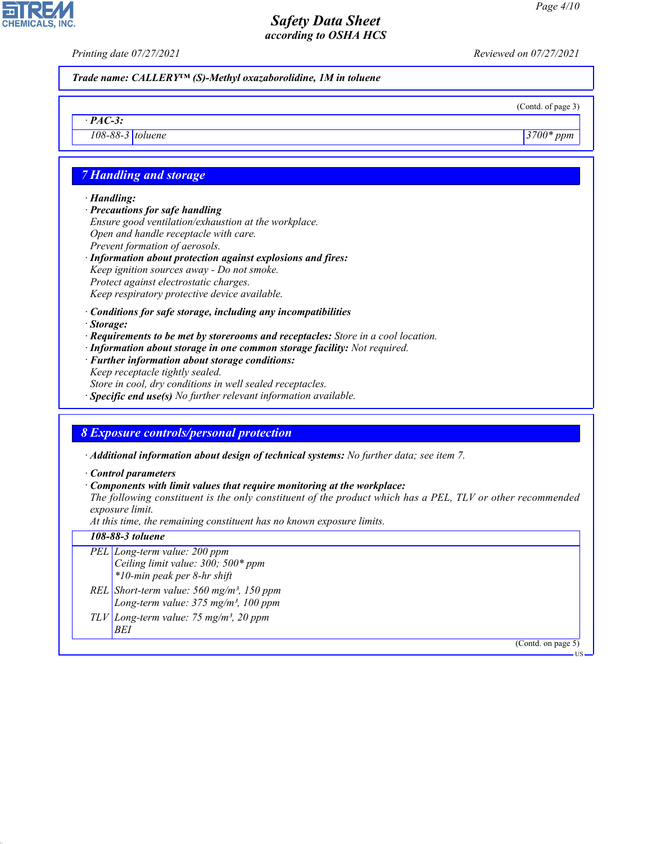*Printing date 07/27/2021 Reviewed on 07/27/2021*

*Trade name: CALLERY™ (S)-Methyl oxazaborolidine, 1M in toluene*

(Contd. of page 3)

*108-88-3 toluene 3700\* ppm*

# *7 Handling and storage*

#### *· Handling:*

*· PAC-3:*

**CHEMICALS, INC** 

*· Precautions for safe handling Ensure good ventilation/exhaustion at the workplace. Open and handle receptacle with care. Prevent formation of aerosols.*

- *· Information about protection against explosions and fires: Keep ignition sources away - Do not smoke. Protect against electrostatic charges. Keep respiratory protective device available.*
- *· Conditions for safe storage, including any incompatibilities*
- *· Storage:*
- *· Requirements to be met by storerooms and receptacles: Store in a cool location.*
- *· Information about storage in one common storage facility: Not required.*
- *· Further information about storage conditions: Keep receptacle tightly sealed. Store in cool, dry conditions in well sealed receptacles.*
- *· Specific end use(s) No further relevant information available.*

# *8 Exposure controls/personal protection*

*· Additional information about design of technical systems: No further data; see item 7.*

*· Control parameters*

### *· Components with limit values that require monitoring at the workplace:*

*The following constituent is the only constituent of the product which has a PEL, TLV or other recommended exposure limit.*

*At this time, the remaining constituent has no known exposure limits.*

#### *108-88-3 toluene*

44.1.1

- *PEL Long-term value: 200 ppm Ceiling limit value: 300; 500\* ppm \*10-min peak per 8-hr shift REL Short-term value: 560 mg/m³, 150 ppm*
- *Long-term value: 375 mg/m³, 100 ppm*
- *TLV Long-term value: 75 mg/m³, 20 ppm BEI*

(Contd. on page 5)

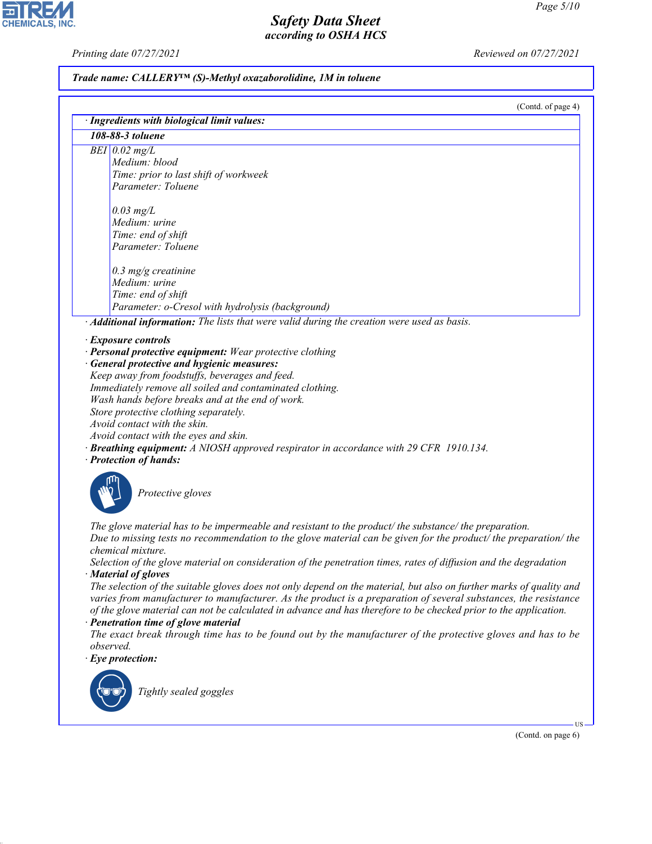CHEMICALS, INC.

44.1.1

*Printing date 07/27/2021 Reviewed on 07/27/2021*

# *Trade name: CALLERY™ (S)-Methyl oxazaborolidine, 1M in toluene*

(Contd. of page 4)

| 108-88-3 toluene                                                                                                    |
|---------------------------------------------------------------------------------------------------------------------|
| $BEI$ 0.02 mg/L                                                                                                     |
| Medium: blood                                                                                                       |
| Time: prior to last shift of workweek                                                                               |
| Parameter: Toluene                                                                                                  |
|                                                                                                                     |
| $0.03$ mg/L                                                                                                         |
| Medium: urine                                                                                                       |
| Time: end of shift                                                                                                  |
| Parameter: Toluene                                                                                                  |
| $0.3$ mg/g creatinine                                                                                               |
| Medium: urine                                                                                                       |
| Time: end of shift                                                                                                  |
| Parameter: o-Cresol with hydrolysis (background)                                                                    |
| · Additional information: The lists that were valid during the creation were used as basis.                         |
| <b>Exposure controls</b>                                                                                            |
| · Personal protective equipment: Wear protective clothing                                                           |
| General protective and hygienic measures:                                                                           |
| Keep away from foodstuffs, beverages and feed.                                                                      |
| Immediately remove all soiled and contaminated clothing.                                                            |
| Wash hands before breaks and at the end of work.                                                                    |
| Store protective clothing separately.                                                                               |
| Avoid contact with the skin.                                                                                        |
| Avoid contact with the eyes and skin.                                                                               |
| <b>Breathing equipment:</b> A NIOSH approved respirator in accordance with 29 CFR 1910.134.                         |
| · Protection of hands:                                                                                              |
|                                                                                                                     |
| Protective gloves                                                                                                   |
|                                                                                                                     |
|                                                                                                                     |
| The glove material has to be impermeable and resistant to the product/the substance/the preparation.                |
| Due to missing tests no recommendation to the glove material can be given for the product/ the preparation/ the     |
| chemical mixture.                                                                                                   |
| Selection of the glove material on consideration of the penetration times, rates of diffusion and the degradation   |
| · Material of gloves                                                                                                |
| The selection of the suitable gloves does not only depend on the material, but also on further marks of quality and |
| varies from manufacturer to manufacturer. As the product is a preparation of several substances, the resistance     |
|                                                                                                                     |
| of the glove material can not be calculated in advance and has therefore to be checked prior to the application.    |
| · Penetration time of glove material                                                                                |
|                                                                                                                     |
| observed.                                                                                                           |
| $\cdot$ Eye protection:                                                                                             |
|                                                                                                                     |
| Tightly sealed goggles                                                                                              |
|                                                                                                                     |
| The exact break through time has to be found out by the manufacturer of the protective gloves and has to be         |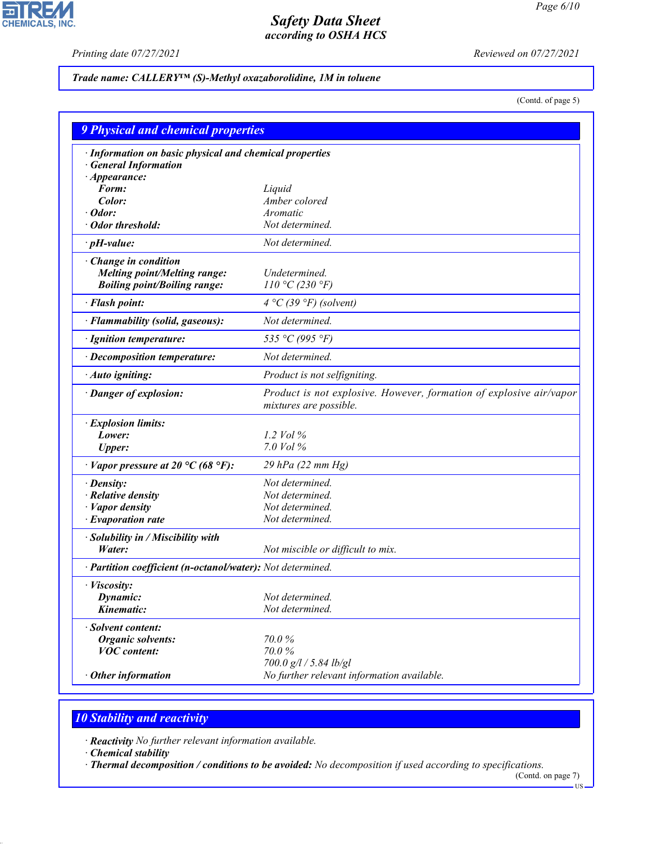$\overline{\phantom{a}}$ 

**CHEMICALS, INC.** 

*Printing date 07/27/2021 Reviewed on 07/27/2021*

## *Trade name: CALLERY™ (S)-Methyl oxazaborolidine, 1M in toluene*

(Contd. of page 5)

| <b>9 Physical and chemical properties</b>                                                                 |                                                                                               |
|-----------------------------------------------------------------------------------------------------------|-----------------------------------------------------------------------------------------------|
| · Information on basic physical and chemical properties<br><b>General Information</b>                     |                                                                                               |
| $\cdot$ Appearance:<br>Form:                                                                              | Liquid                                                                                        |
| Color:                                                                                                    | Amber colored                                                                                 |
| Odor:                                                                                                     | Aromatic                                                                                      |
| Odor threshold:                                                                                           | Not determined.                                                                               |
| $\cdot$ pH-value:                                                                                         | Not determined.                                                                               |
| $\cdot$ Change in condition<br><b>Melting point/Melting range:</b><br><b>Boiling point/Boiling range:</b> | Undetermined.<br>110 °C (230 °F)                                                              |
| · Flash point:                                                                                            | $4 °C$ (39 °F) (solvent)                                                                      |
| · Flammability (solid, gaseous):                                                                          | Not determined.                                                                               |
| · Ignition temperature:                                                                                   | 535 °C (995 °F)                                                                               |
| · Decomposition temperature:                                                                              | Not determined.                                                                               |
| · Auto igniting:                                                                                          | Product is not selfigniting.                                                                  |
| · Danger of explosion:                                                                                    | Product is not explosive. However, formation of explosive air/vapor<br>mixtures are possible. |
| · Explosion limits:                                                                                       |                                                                                               |
| Lower:                                                                                                    | 1.2 $Vol\%$                                                                                   |
| <b>Upper:</b>                                                                                             | 7.0 Vol %                                                                                     |
| $\cdot$ Vapor pressure at 20 °C (68 °F):                                                                  | 29 hPa (22 mm Hg)                                                                             |
| · Density:                                                                                                | Not determined.                                                                               |
| · Relative density                                                                                        | Not determined.                                                                               |
| · Vapor density                                                                                           | Not determined.                                                                               |
| · Evaporation rate                                                                                        | Not determined.                                                                               |
| · Solubility in / Miscibility with<br>Water:                                                              | Not miscible or difficult to mix.                                                             |
| · Partition coefficient (n-octanol/water): Not determined.                                                |                                                                                               |
| · Viscosity:                                                                                              |                                                                                               |
| Dynamic:                                                                                                  | Not determined.                                                                               |
| Kinematic:                                                                                                | Not determined.                                                                               |
| <b>Solvent content:</b>                                                                                   |                                                                                               |
| <b>Organic solvents:</b>                                                                                  | 70.0%                                                                                         |
| <b>VOC</b> content:                                                                                       | 70.0%                                                                                         |
|                                                                                                           | 700.0 g/l / 5.84 lb/gl                                                                        |
| Other information                                                                                         | No further relevant information available.                                                    |

# *10 Stability and reactivity*

*· Reactivity No further relevant information available.*

*· Chemical stability*

44.1.1

*· Thermal decomposition / conditions to be avoided: No decomposition if used according to specifications.*

(Contd. on page 7) US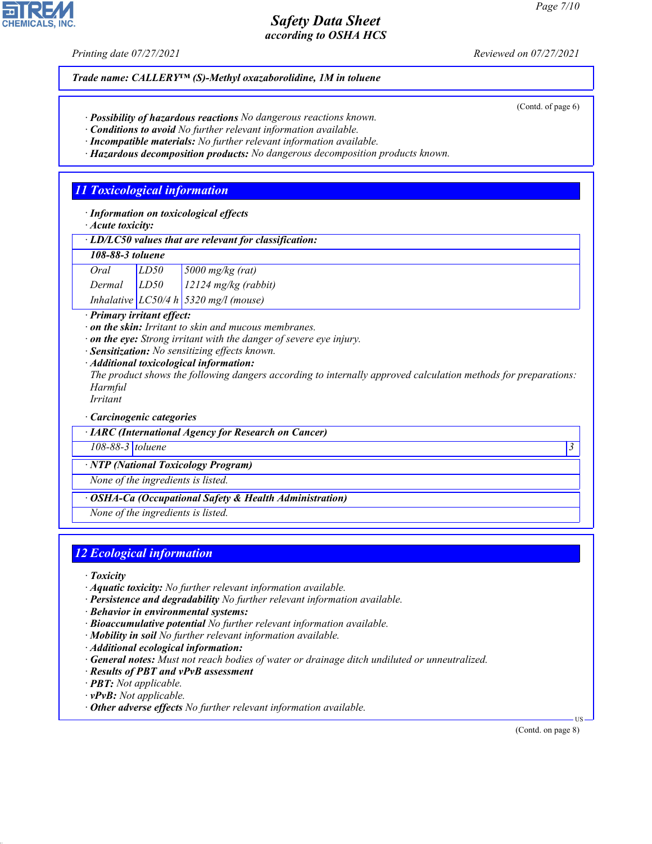*Printing date 07/27/2021 Reviewed on 07/27/2021*

*Trade name: CALLERY™ (S)-Methyl oxazaborolidine, 1M in toluene*

- *· Possibility of hazardous reactions No dangerous reactions known.*
- *· Conditions to avoid No further relevant information available.*
- *· Incompatible materials: No further relevant information available.*
- *· Hazardous decomposition products: No dangerous decomposition products known.*

# *11 Toxicological information*

*· Information on toxicological effects*

*· Acute toxicity:*

| $\cdot$ LD/LC50 values that are relevant for classification: |  |
|--------------------------------------------------------------|--|
|--------------------------------------------------------------|--|

| 108-88-3 toluene |      |                                           |
|------------------|------|-------------------------------------------|
| Oral             | LD50 | $\frac{5000 \text{ mg/kg}}{(\text{rad})}$ |

| Dermal | LD50 | $12124$ mg/kg (rabbit)                             |
|--------|------|----------------------------------------------------|
|        |      | Inhalative $LC50/4 h \,   \, 5320 \, mg/l$ (mouse) |

*· Primary irritant effect:*

- *· on the skin: Irritant to skin and mucous membranes.*
- *· on the eye: Strong irritant with the danger of severe eye injury.*
- *· Sensitization: No sensitizing effects known.*
- *· Additional toxicological information:*

*The product shows the following dangers according to internally approved calculation methods for preparations: Harmful*

*Irritant*

*· Carcinogenic categories*

*· IARC (International Agency for Research on Cancer)*

*108-88-3 toluene 3* 

*· NTP (National Toxicology Program)*

*None of the ingredients is listed.*

*· OSHA-Ca (Occupational Safety & Health Administration)*

*None of the ingredients is listed.*

# *12 Ecological information*

*· Toxicity*

44.1.1

- *· Aquatic toxicity: No further relevant information available.*
- *· Persistence and degradability No further relevant information available.*
- *· Behavior in environmental systems:*
- *· Bioaccumulative potential No further relevant information available.*
- *· Mobility in soil No further relevant information available.*
- *· Additional ecological information:*
- *· General notes: Must not reach bodies of water or drainage ditch undiluted or unneutralized.*
- *· Results of PBT and vPvB assessment*
- *· PBT: Not applicable.*
- *· vPvB: Not applicable.*
- *· Other adverse effects No further relevant information available.*

(Contd. on page 8)

US



(Contd. of page 6)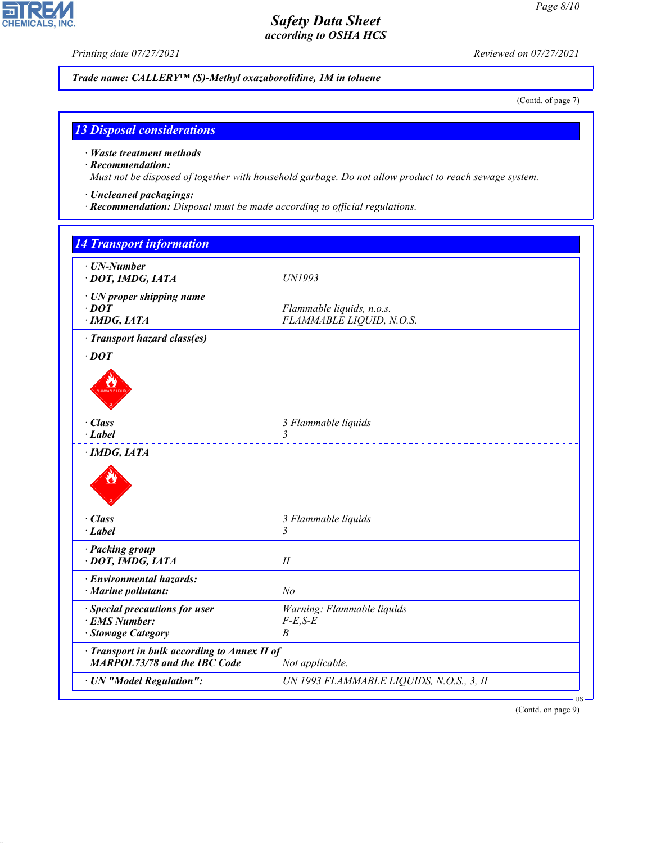ᄀ

**CHEMICALS, INC.** 

*Printing date 07/27/2021 Reviewed on 07/27/2021*

*Trade name: CALLERY™ (S)-Methyl oxazaborolidine, 1M in toluene*

(Contd. of page 7)

## *13 Disposal considerations*

*· Waste treatment methods*

## *· Recommendation:*

44.1.1

*Must not be disposed of together with household garbage. Do not allow product to reach sewage system.*

- *· Uncleaned packagings:*
- *· Recommendation: Disposal must be made according to official regulations.*

| · UN-Number<br>· DOT, IMDG, IATA                                                  | UN1993                                                |  |
|-----------------------------------------------------------------------------------|-------------------------------------------------------|--|
| · UN proper shipping name<br>$\cdot$ DOT<br>$\cdot$ IMDG, IATA                    | Flammable liquids, n.o.s.<br>FLAMMABLE LIQUID, N.O.S. |  |
| · Transport hazard class(es)                                                      |                                                       |  |
| $\cdot$ DOT                                                                       |                                                       |  |
|                                                                                   |                                                       |  |
| $\cdot$ Class                                                                     | 3 Flammable liquids                                   |  |
| $\cdot$ Label                                                                     | 3                                                     |  |
|                                                                                   |                                                       |  |
| · Class                                                                           | 3 Flammable liquids                                   |  |
| $\cdot$ Label                                                                     | 3                                                     |  |
| · Packing group<br>· DOT, IMDG, IATA                                              | $I\!I$                                                |  |
| · Environmental hazards:                                                          |                                                       |  |
| · Marine pollutant:                                                               | N <sub>o</sub>                                        |  |
| · Special precautions for user                                                    | Warning: Flammable liquids                            |  |
| · EMS Number:                                                                     | $F-E, S-E$                                            |  |
| · Stowage Category                                                                | $\boldsymbol{B}$                                      |  |
| Transport in bulk according to Annex II of<br><b>MARPOL73/78 and the IBC Code</b> | Not applicable.                                       |  |
|                                                                                   |                                                       |  |

(Contd. on page 9)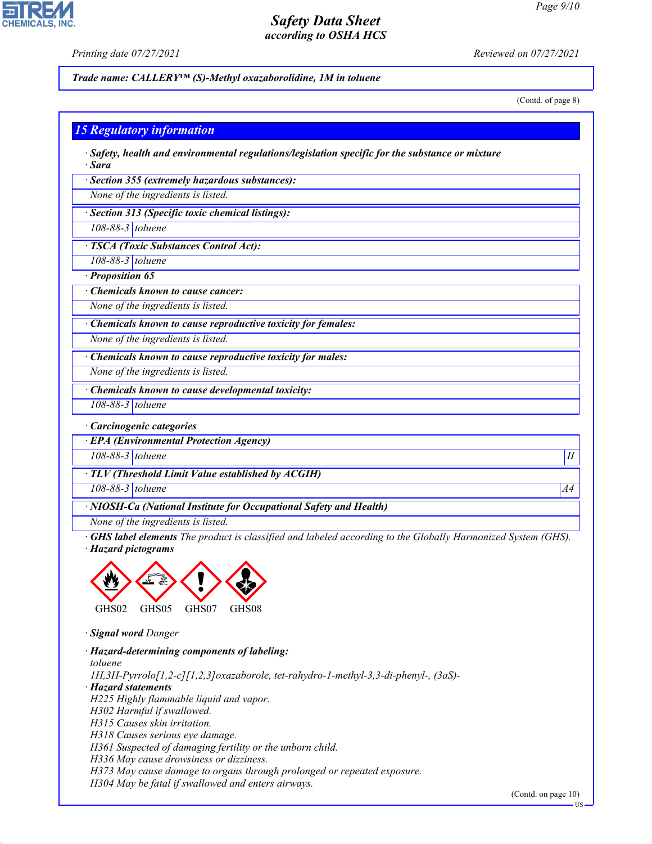**CHEMICALS, INC** 

*Printing date 07/27/2021 Reviewed on 07/27/2021*

*Trade name: CALLERY™ (S)-Methyl oxazaborolidine, 1M in toluene*

(Contd. of page 8)

## *15 Regulatory information*

*· Safety, health and environmental regulations/legislation specific for the substance or mixture · Sara*

*· Section 355 (extremely hazardous substances):*

*None of the ingredients is listed.*

*· Section 313 (Specific toxic chemical listings):*

*108-88-3 toluene*

*· TSCA (Toxic Substances Control Act):*

*108-88-3 toluene*

*· Proposition 65*

*· Chemicals known to cause cancer:*

*None of the ingredients is listed.*

*· Chemicals known to cause reproductive toxicity for females:*

*None of the ingredients is listed.*

*· Chemicals known to cause reproductive toxicity for males:*

*None of the ingredients is listed.*

*· Chemicals known to cause developmental toxicity:*

*108-88-3 toluene*

*· Carcinogenic categories*

*· EPA (Environmental Protection Agency)*

*108-88-3 toluene II*

*· TLV (Threshold Limit Value established by ACGIH)*

*108-88-3 toluene A4*

*· NIOSH-Ca (National Institute for Occupational Safety and Health)*

*None of the ingredients is listed.*

*· GHS label elements The product is classified and labeled according to the Globally Harmonized System (GHS). · Hazard pictograms*



*· Signal word Danger*

44.1.1

*· Hazard-determining components of labeling:*

*toluene 1H,3H-Pyrrolo[1,2-c][1,2,3]oxazaborole, tet-rahydro-1-methyl-3,3-di-phenyl-, (3aS)- · Hazard statements H225 Highly flammable liquid and vapor. H302 Harmful if swallowed. H315 Causes skin irritation. H318 Causes serious eye damage. H361 Suspected of damaging fertility or the unborn child. H336 May cause drowsiness or dizziness. H373 May cause damage to organs through prolonged or repeated exposure.*

*H304 May be fatal if swallowed and enters airways.*

(Contd. on page 10)

US